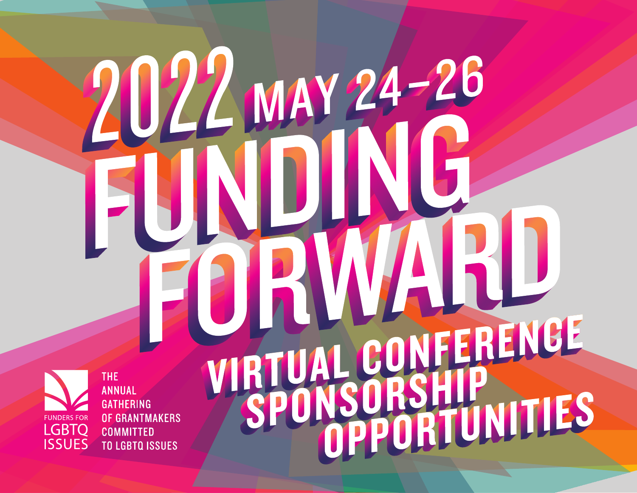**THE FUNDERS FOR** LGBTQ<br>ISSUES

**ANNUAL GATHERING OF GRANTMAKERS COMMITTED TO LGBTQ ISSUES** 

### VFERENCE **VI** ORTUNITIES SE

MAY 24

26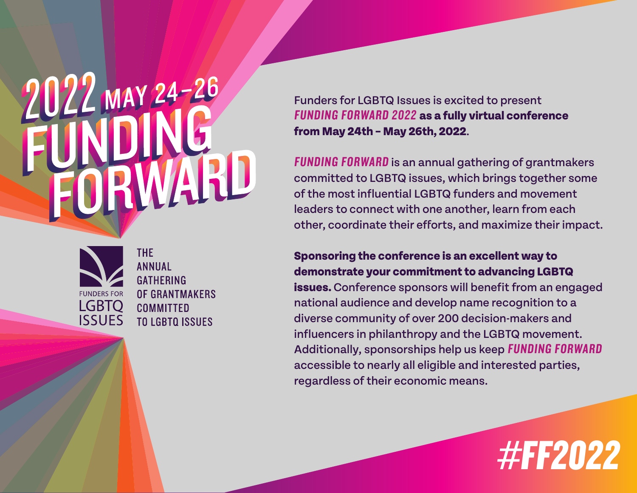# 2022 MAY 24-26



**THE ANNIJAI GATHFRING** OF GRANTMAKERS **COMMITTED TO LGBTO ISSUES** 

Funders for LGBTQ Issues is excited to present FUNDING FORWARD 2022 **as a fully virtual conference from May 24th – May 26th, 2022**.

FUNDING FORWARD is an annual gathering of grantmakers committed to LGBTQ issues, which brings together some of the most influential LGBTQ funders and movement leaders to connect with one another, learn from each other, coordinate their efforts, and maximize their impact.

#### **Sponsoring the conference is an excellent way to demonstrate your commitment to advancing LGBTQ**

**issues.** Conference sponsors will benefit from an engaged national audience and develop name recognition to a diverse community of over 200 decision-makers and influencers in philanthropy and the LGBTQ movement. Additionally, sponsorships help us keep FUNDING FORWARD accessible to nearly all eligible and interested parties, regardless of their economic means.

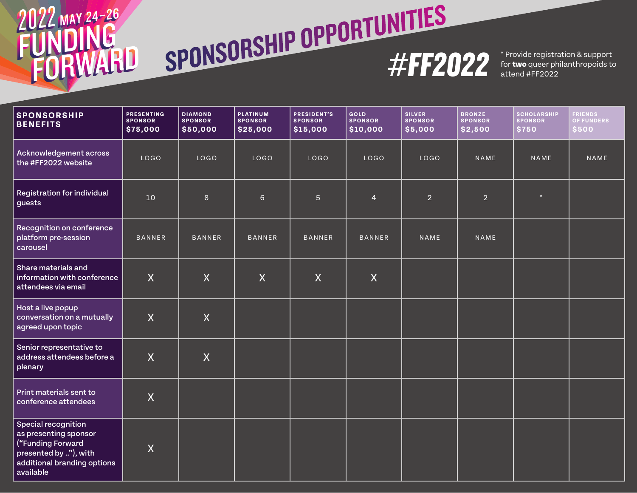### 2022 MAY 24-26 RWARD



\* Provide registration & support

| <b>SPONSORSHIP</b><br><b>BENEFITS</b>                                                                                                         | <b>PRESENTING</b><br><b>SPONSOR</b><br>\$75,000 | <b>DIAMOND</b><br><b>SPONSOR</b><br>\$50,000 | PLATINUM<br><b>SPONSOR</b><br>\$25,000 | <b>PRESIDENT'S</b><br><b>SPONSOR</b><br>\$15,000 | GOLD<br><b>SPONSOR</b><br>\$10,000 | <b>SILVER</b><br><b>SPONSOR</b><br>\$5,000 | <b>BRONZE</b><br><b>SPONSOR</b><br>\$2,500 | <b>SCHOLARSHIP</b><br><b>SPONSOR</b><br>\$750 | FRIENDS<br><b>OF FUNDERS</b><br>\$500 |
|-----------------------------------------------------------------------------------------------------------------------------------------------|-------------------------------------------------|----------------------------------------------|----------------------------------------|--------------------------------------------------|------------------------------------|--------------------------------------------|--------------------------------------------|-----------------------------------------------|---------------------------------------|
| Acknowledgement across<br>the #FF2022 website                                                                                                 | LOGO                                            | <b>LOGO</b>                                  | LOGO                                   | LOGO                                             | LOGO                               | LOGO                                       | NAME                                       | NAME                                          | NAME                                  |
| Registration for individual<br>guests                                                                                                         | $10$                                            | 8                                            | 6                                      | $\overline{5}$                                   | $\overline{4}$                     | $\overline{2}$                             | 2 <sup>1</sup>                             | $\ast$                                        |                                       |
| Recognition on conference<br>platform pre-session<br>carousel                                                                                 | <b>BANNER</b>                                   | <b>BANNER</b>                                | <b>BANNER</b>                          | <b>BANNER</b>                                    | <b>BANNER</b>                      | NAME                                       | NAME                                       |                                               |                                       |
| Share materials and<br>information with conference<br>attendees via email                                                                     | X                                               | $\sf X$                                      | $\boldsymbol{X}$                       | $\sf X$                                          | $\mathsf{X}$                       |                                            |                                            |                                               |                                       |
| Host a live popup<br>conversation on a mutually<br>agreed upon topic                                                                          | $\overline{X}$                                  | $\sf X$                                      |                                        |                                                  |                                    |                                            |                                            |                                               |                                       |
| Senior representative to<br>address attendees before a<br>plenary                                                                             | $\overline{X}$                                  | $\sf X$                                      |                                        |                                                  |                                    |                                            |                                            |                                               |                                       |
| Print materials sent to<br>conference attendees                                                                                               | $\sf X$                                         |                                              |                                        |                                                  |                                    |                                            |                                            |                                               |                                       |
| <b>Special recognition</b><br>as presenting sponsor<br>("Funding Forward<br>presented by "), with<br>additional branding options<br>available | X                                               |                                              |                                        |                                                  |                                    |                                            |                                            |                                               |                                       |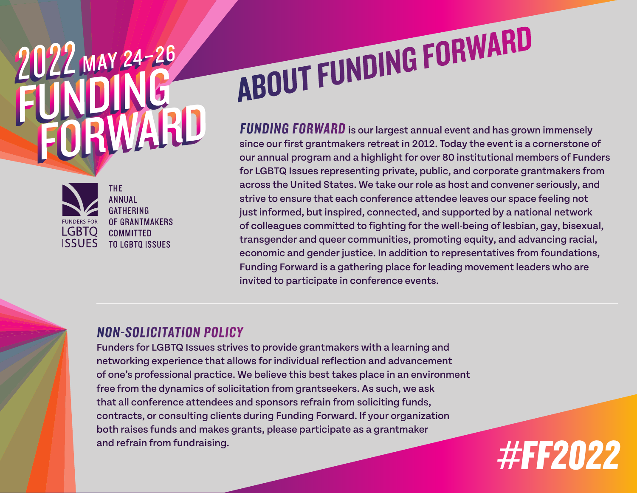# 2022 MAY 24-26



THE. **ANNUAL GATHERING** OF GRANTMAKERS **COMMITTED** TO LGBTO ISSUES

## ABOUT FUNDING FORWARD

FUNDING FORWARD is our largest annual event and has grown immensely since our first grantmakers retreat in 2012. Today the event is a cornerstone of our annual program and a highlight for over 80 institutional members of Funders for LGBTQ Issues representing private, public, and corporate grantmakers from across the United States. We take our role as host and convener seriously, and strive to ensure that each conference attendee leaves our space feeling not just informed, but inspired, connected, and supported by a national network of colleagues committed to fighting for the well-being of lesbian, gay, bisexual, transgender and queer communities, promoting equity, and advancing racial, economic and gender justice. In addition to representatives from foundations, Funding Forward is a gathering place for leading movement leaders who are invited to participate in conference events.

#FF2022

### NON-SOLICITATION POLICY

Funders for LGBTQ Issues strives to provide grantmakers with a learning and networking experience that allows for individual reflection and advancement of one's professional practice. We believe this best takes place in an environment free from the dynamics of solicitation from grantseekers. As such, we ask that all conference attendees and sponsors refrain from soliciting funds, contracts, or consulting clients during Funding Forward. If your organization both raises funds and makes grants, please participate as a grantmaker and refrain from fundraising.